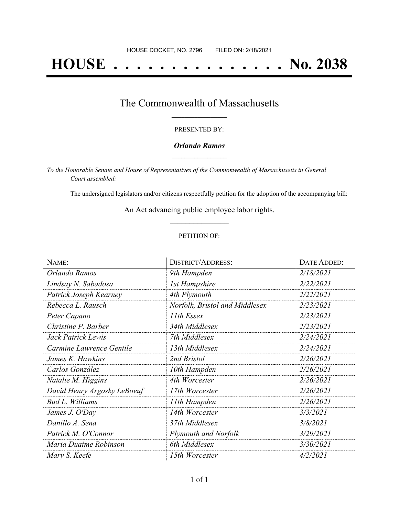# **HOUSE . . . . . . . . . . . . . . . No. 2038**

### The Commonwealth of Massachusetts **\_\_\_\_\_\_\_\_\_\_\_\_\_\_\_\_\_**

#### PRESENTED BY:

#### *Orlando Ramos* **\_\_\_\_\_\_\_\_\_\_\_\_\_\_\_\_\_**

*To the Honorable Senate and House of Representatives of the Commonwealth of Massachusetts in General Court assembled:*

The undersigned legislators and/or citizens respectfully petition for the adoption of the accompanying bill:

An Act advancing public employee labor rights. **\_\_\_\_\_\_\_\_\_\_\_\_\_\_\_**

#### PETITION OF:

| NAME:                       | <b>DISTRICT/ADDRESS:</b>       | DATE ADDED: |
|-----------------------------|--------------------------------|-------------|
| Orlando Ramos               | 9th Hampden                    | 2/18/2021   |
| Lindsay N. Sabadosa         | <b>1st Hampshire</b>           | 2/22/2021   |
| Patrick Joseph Kearney      | 4th Plymouth                   | 2/22/2021   |
| Rebecca L. Rausch           | Norfolk, Bristol and Middlesex | 2/23/2021   |
| Peter Capano                | 11th Essex                     | 2/23/2021   |
| Christine P. Barber         | 34th Middlesex                 | 2/23/2021   |
| Jack Patrick Lewis          | 7th Middlesex                  | 2/24/2021   |
| Carmine Lawrence Gentile    | 13th Middlesex                 | 2/24/2021   |
| James K. Hawkins            | 2nd Bristol                    | 2/26/2021   |
| Carlos González             | 10th Hampden                   | 2/26/2021   |
| Natalie M. Higgins          | 4th Worcester                  | 2/26/2021   |
| David Henry Argosky LeBoeuf | 17th Worcester                 | 2/26/2021   |
| <b>Bud L. Williams</b>      | 11th Hampden                   | 2/26/2021   |
| James J. O'Day              | 14th Worcester                 | 3/3/2021    |
| Danillo A. Sena             | 37th Middlesex                 | 3/8/2021    |
| Patrick M. O'Connor         | <b>Plymouth and Norfolk</b>    | 3/29/2021   |
| Maria Duaime Robinson       | 6th Middlesex                  | 3/30/2021   |
| Mary S. Keefe               | 15th Worcester                 | 4/2/2021    |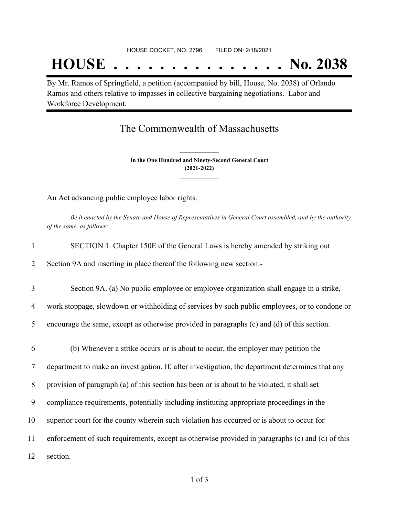## **HOUSE . . . . . . . . . . . . . . . No. 2038**

By Mr. Ramos of Springfield, a petition (accompanied by bill, House, No. 2038) of Orlando Ramos and others relative to impasses in collective bargaining negotiations. Labor and Workforce Development.

### The Commonwealth of Massachusetts

**In the One Hundred and Ninety-Second General Court (2021-2022) \_\_\_\_\_\_\_\_\_\_\_\_\_\_\_**

**\_\_\_\_\_\_\_\_\_\_\_\_\_\_\_**

An Act advancing public employee labor rights.

Be it enacted by the Senate and House of Representatives in General Court assembled, and by the authority *of the same, as follows:*

| $\mathbf{1}$ | SECTION 1. Chapter 150E of the General Laws is hereby amended by striking out                    |  |
|--------------|--------------------------------------------------------------------------------------------------|--|
| 2            | Section 9A and inserting in place thereof the following new section:-                            |  |
| 3            | Section 9A. (a) No public employee or employee organization shall engage in a strike,            |  |
| 4            | work stoppage, slowdown or withholding of services by such public employees, or to condone or    |  |
| 5            | encourage the same, except as otherwise provided in paragraphs (c) and (d) of this section.      |  |
| 6            | (b) Whenever a strike occurs or is about to occur, the employer may petition the                 |  |
| 7            | department to make an investigation. If, after investigation, the department determines that any |  |
| 8            | provision of paragraph (a) of this section has been or is about to be violated, it shall set     |  |
| 9            | compliance requirements, potentially including instituting appropriate proceedings in the        |  |
| 10           | superior court for the county wherein such violation has occurred or is about to occur for       |  |
| 11           | enforcement of such requirements, except as otherwise provided in paragraphs (c) and (d) of this |  |
| 12           | section.                                                                                         |  |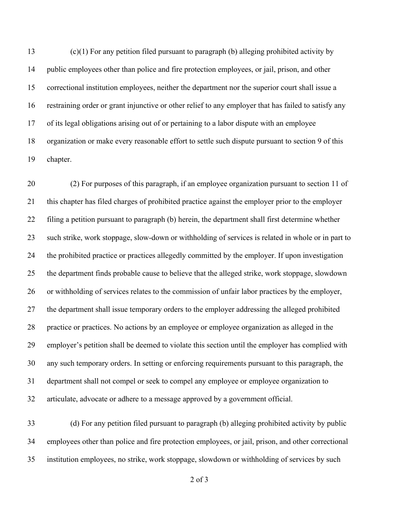(c)(1) For any petition filed pursuant to paragraph (b) alleging prohibited activity by public employees other than police and fire protection employees, or jail, prison, and other correctional institution employees, neither the department nor the superior court shall issue a restraining order or grant injunctive or other relief to any employer that has failed to satisfy any of its legal obligations arising out of or pertaining to a labor dispute with an employee organization or make every reasonable effort to settle such dispute pursuant to section 9 of this chapter.

 (2) For purposes of this paragraph, if an employee organization pursuant to section 11 of this chapter has filed charges of prohibited practice against the employer prior to the employer filing a petition pursuant to paragraph (b) herein, the department shall first determine whether such strike, work stoppage, slow-down or withholding of services is related in whole or in part to the prohibited practice or practices allegedly committed by the employer. If upon investigation the department finds probable cause to believe that the alleged strike, work stoppage, slowdown or withholding of services relates to the commission of unfair labor practices by the employer, the department shall issue temporary orders to the employer addressing the alleged prohibited practice or practices. No actions by an employee or employee organization as alleged in the employer's petition shall be deemed to violate this section until the employer has complied with any such temporary orders. In setting or enforcing requirements pursuant to this paragraph, the department shall not compel or seek to compel any employee or employee organization to articulate, advocate or adhere to a message approved by a government official.

 (d) For any petition filed pursuant to paragraph (b) alleging prohibited activity by public employees other than police and fire protection employees, or jail, prison, and other correctional institution employees, no strike, work stoppage, slowdown or withholding of services by such

of 3